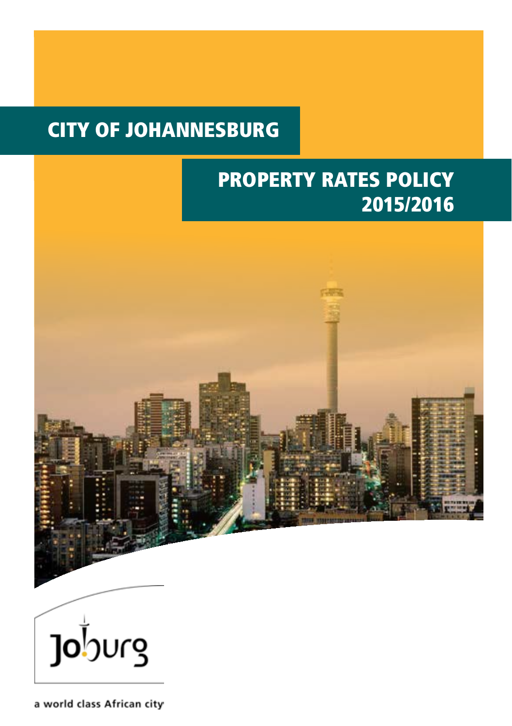# CITY OF JOHANNESBURG

# PROPERTY RATES POLICY 2015/2016





a world class African city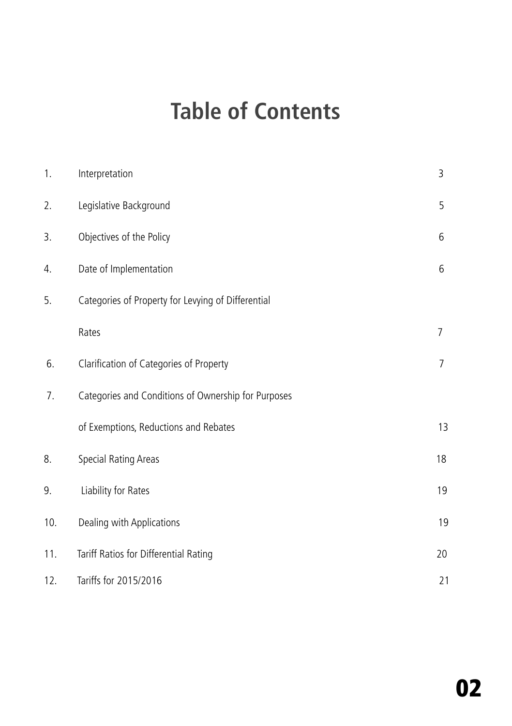# **Table of Contents**

| 1.  | Interpretation                                      | 3              |
|-----|-----------------------------------------------------|----------------|
| 2.  | Legislative Background                              | 5              |
| 3.  | Objectives of the Policy                            | 6              |
| 4.  | Date of Implementation                              | 6              |
| 5.  | Categories of Property for Levying of Differential  |                |
|     | Rates                                               | $\overline{7}$ |
| 6.  | Clarification of Categories of Property             | $\overline{7}$ |
| 7.  | Categories and Conditions of Ownership for Purposes |                |
|     | of Exemptions, Reductions and Rebates               | 13             |
| 8.  | Special Rating Areas                                | 18             |
| 9.  | Liability for Rates                                 | 19             |
| 10. | Dealing with Applications                           | 19             |
| 11. | Tariff Ratios for Differential Rating               | 20             |
| 12. | Tariffs for 2015/2016                               | 21             |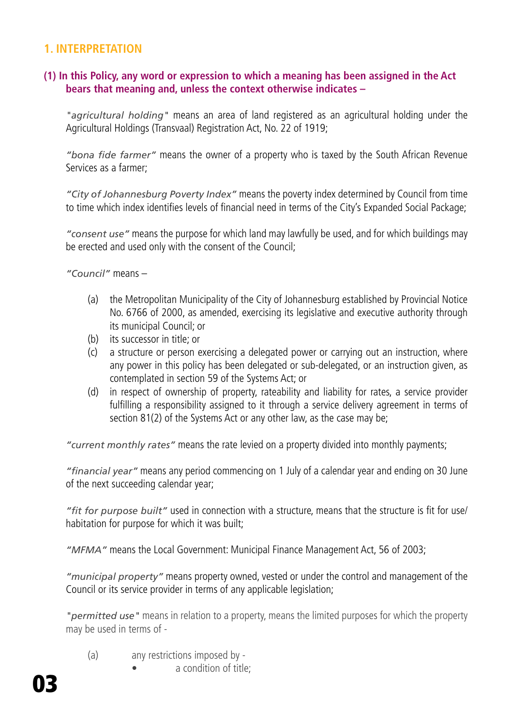## **1. INTERPRETATION**

#### **(1) In this Policy, any word or expression to which a meaning has been assigned in the Act bears that meaning and, unless the context otherwise indicates –**

*"agricultural holding"* means an area of land registered as an agricultural holding under the Agricultural Holdings (Transvaal) Registration Act, No. 22 of 1919;

*"bona fide farmer"* means the owner of a property who is taxed by the South African Revenue Services as a farmer;

*"City of Johannesburg Poverty Index"* means the poverty index determined by Council from time to time which index identifies levels of financial need in terms of the City's Expanded Social Package;

*"consent use"* means the purpose for which land may lawfully be used, and for which buildings may be erected and used only with the consent of the Council;

*"Council"* means –

- (a) the Metropolitan Municipality of the City of Johannesburg established by Provincial Notice No. 6766 of 2000, as amended, exercising its legislative and executive authority through its municipal Council; or
- (b) its successor in title; or
- (c) a structure or person exercising a delegated power or carrying out an instruction, where any power in this policy has been delegated or sub-delegated, or an instruction given, as contemplated in section 59 of the Systems Act; or
- (d) in respect of ownership of property, rateability and liability for rates, a service provider fulfilling a responsibility assigned to it through a service delivery agreement in terms of section 81(2) of the Systems Act or any other law, as the case may be;

*"current monthly rates"* means the rate levied on a property divided into monthly payments;

*"financial year"* means any period commencing on 1 July of a calendar year and ending on 30 June of the next succeeding calendar year;

*"fit for purpose built"* used in connection with a structure, means that the structure is fit for use/ habitation for purpose for which it was built;

*"MFMA"* means the Local Government: Municipal Finance Management Act, 56 of 2003;

*"municipal property"* means property owned, vested or under the control and management of the Council or its service provider in terms of any applicable legislation;

*"permitted use"* means in relation to a property, means the limited purposes for which the property may be used in terms of -

- (a) any restrictions imposed by
	- a condition of title: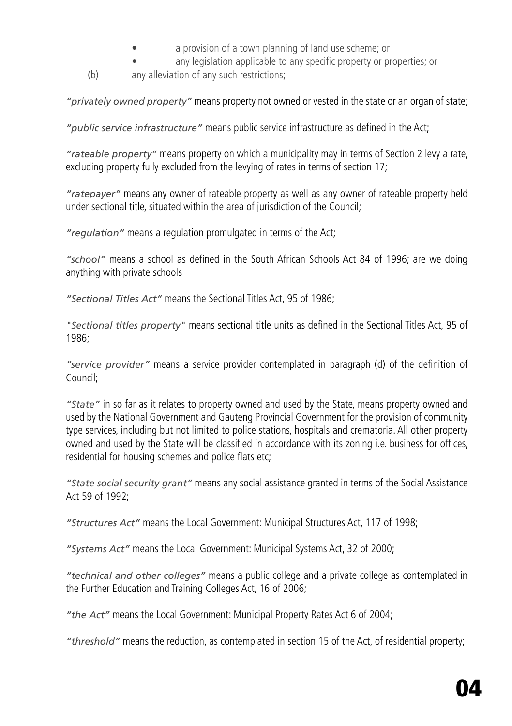- a provision of a town planning of land use scheme; or
- any legislation applicable to any specific property or properties; or
- (b) any alleviation of any such restrictions;

*"privately owned property"* means property not owned or vested in the state or an organ of state;

*"public service infrastructure"* means public service infrastructure as defined in the Act;

*"rateable property"* means property on which a municipality may in terms of Section 2 levy a rate, excluding property fully excluded from the levying of rates in terms of section 17;

*"ratepayer"* means any owner of rateable property as well as any owner of rateable property held under sectional title, situated within the area of jurisdiction of the Council;

*"regulation"* means a regulation promulgated in terms of the Act;

*"school"* means a school as defined in the South African Schools Act 84 of 1996; are we doing anything with private schools

*"Sectional Titles Act"* means the Sectional Titles Act, 95 of 1986;

*"Sectional titles property"* means sectional title units as defined in the Sectional Titles Act, 95 of 1986;

*"service provider"* means a service provider contemplated in paragraph (d) of the definition of Council;

*"State"* in so far as it relates to property owned and used by the State, means property owned and used by the National Government and Gauteng Provincial Government for the provision of community type services, including but not limited to police stations, hospitals and crematoria. All other property owned and used by the State will be classified in accordance with its zoning i.e. business for offices, residential for housing schemes and police flats etc;

*"State social security grant"* means any social assistance granted in terms of the Social Assistance Act 59 of 1992;

*"Structures Act"* means the Local Government: Municipal Structures Act, 117 of 1998;

*"Systems Act"* means the Local Government: Municipal Systems Act, 32 of 2000;

*"technical and other colleges"* means a public college and a private college as contemplated in the Further Education and Training Colleges Act, 16 of 2006;

*"the Act"* means the Local Government: Municipal Property Rates Act 6 of 2004;

*"threshold"* means the reduction, as contemplated in section 15 of the Act, of residential property;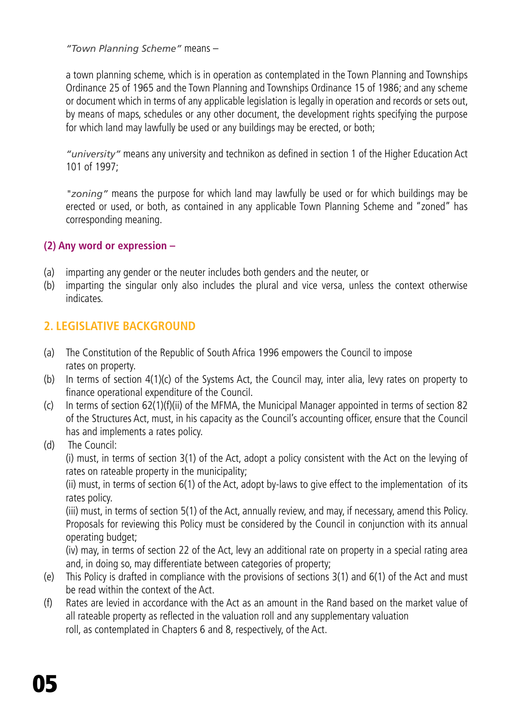*"Town Planning Scheme"* means –

a town planning scheme, which is in operation as contemplated in the Town Planning and Townships Ordinance 25 of 1965 and the Town Planning and Townships Ordinance 15 of 1986; and any scheme or document which in terms of any applicable legislation is legally in operation and records or sets out, by means of maps, schedules or any other document, the development rights specifying the purpose for which land may lawfully be used or any buildings may be erected, or both;

*"university"* means any university and technikon as defined in section 1 of the Higher Education Act 101 of 1997;

*"zoning"* means the purpose for which land may lawfully be used or for which buildings may be erected or used, or both, as contained in any applicable Town Planning Scheme and "zoned" has corresponding meaning.

#### **(2) Any word or expression –**

- (a) imparting any gender or the neuter includes both genders and the neuter, or
- (b) imparting the singular only also includes the plural and vice versa, unless the context otherwise indicates.

# **2. LEGISLATIVE BACKGROUND**

- (a) The Constitution of the Republic of South Africa 1996 empowers the Council to impose rates on property.
- (b) In terms of section 4(1)(c) of the Systems Act, the Council may, inter alia, levy rates on property to finance operational expenditure of the Council.
- (c) In terms of section 62(1)(f)(ii) of the MFMA, the Municipal Manager appointed in terms of section 82 of the Structures Act, must, in his capacity as the Council's accounting officer, ensure that the Council has and implements a rates policy.
- (d) The Council:

(i) must, in terms of section 3(1) of the Act, adopt a policy consistent with the Act on the levying of rates on rateable property in the municipality;

(ii) must, in terms of section 6(1) of the Act, adopt by-laws to give effect to the implementation of its rates policy.

(iii) must, in terms of section 5(1) of the Act, annually review, and may, if necessary, amend this Policy. Proposals for reviewing this Policy must be considered by the Council in conjunction with its annual operating budget;

(iv) may, in terms of section 22 of the Act, levy an additional rate on property in a special rating area and, in doing so, may differentiate between categories of property;

- (e) This Policy is drafted in compliance with the provisions of sections 3(1) and 6(1) of the Act and must be read within the context of the Act.
- (f) Rates are levied in accordance with the Act as an amount in the Rand based on the market value of all rateable property as reflected in the valuation roll and any supplementary valuation roll, as contemplated in Chapters 6 and 8, respectively, of the Act.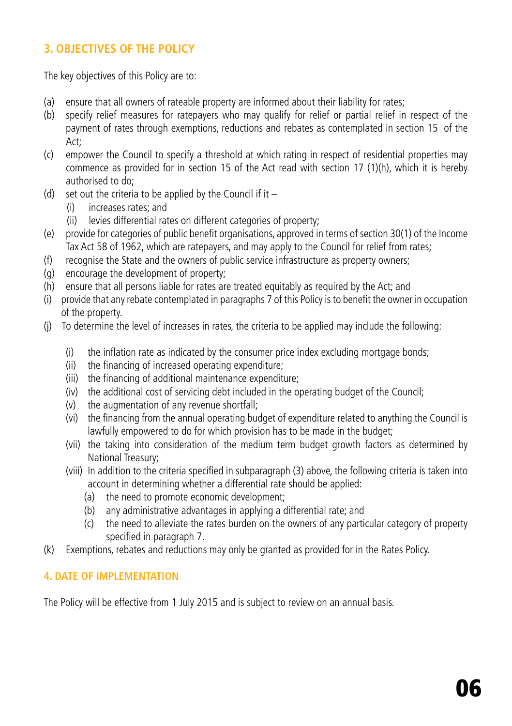# **3. OBJECTIVES OF THE POLICY**

The key objectives of this Policy are to:

- (a) ensure that all owners of rateable property are informed about their liability for rates;
- (b) specify relief measures for ratepayers who may qualify for relief or partial relief in respect of the payment of rates through exemptions, reductions and rebates as contemplated in section 15 of the Act;
- (c) empower the Council to specify a threshold at which rating in respect of residential properties may commence as provided for in section 15 of the Act read with section 17 (1)(h), which it is hereby authorised to do;
- (d) set out the criteria to be applied by the Council if it  $-$ 
	- (i) increases rates; and
	- (ii) levies differential rates on different categories of property;
- (e) provide for categories of public benefit organisations, approved in terms of section 30(1) of the Income Tax Act 58 of 1962, which are ratepayers, and may apply to the Council for relief from rates;
- (f) recognise the State and the owners of public service infrastructure as property owners;
- (g) encourage the development of property;
- (h) ensure that all persons liable for rates are treated equitably as required by the Act; and
- (i) provide that any rebate contemplated in paragraphs 7 of this Policy is to benefit the owner in occupation of the property.
- (j) To determine the level of increases in rates, the criteria to be applied may include the following:
	- (i) the inflation rate as indicated by the consumer price index excluding mortgage bonds;
	- (ii) the financing of increased operating expenditure;
	- (iii) the financing of additional maintenance expenditure;
	- (iv) the additional cost of servicing debt included in the operating budget of the Council;
	- (v) the augmentation of any revenue shortfall;
	- (vi) the financing from the annual operating budget of expenditure related to anything the Council is lawfully empowered to do for which provision has to be made in the budget;
	- (vii) the taking into consideration of the medium term budget growth factors as determined by National Treasury;
	- (viii) In addition to the criteria specified in subparagraph (3) above, the following criteria is taken into account in determining whether a differential rate should be applied:
		- (a) the need to promote economic development;
		- (b) any administrative advantages in applying a differential rate; and
		- (c) the need to alleviate the rates burden on the owners of any particular category of property specified in paragraph 7.
- (k) Exemptions, rebates and reductions may only be granted as provided for in the Rates Policy.

## **4. DATE OF IMPLEMENTATION**

The Policy will be effective from 1 July 2015 and is subject to review on an annual basis.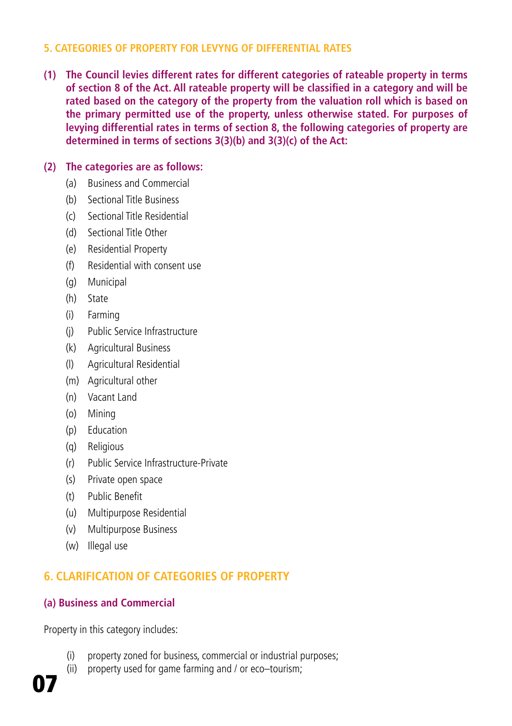#### **5. CATEGORIES OF PROPERTY FOR LEVYNG OF DIFFERENTIAL RATES**

**(1) The Council levies different rates for different categories of rateable property in terms of section 8 of the Act. All rateable property will be classified in a category and will be rated based on the category of the property from the valuation roll which is based on the primary permitted use of the property, unless otherwise stated. For purposes of levying differential rates in terms of section 8, the following categories of property are determined in terms of sections 3(3)(b) and 3(3)(c) of the Act:**

#### **(2) The categories are as follows:**

- (a) Business and Commercial
- (b) Sectional Title Business
- (c) Sectional Title Residential
- (d) Sectional Title Other
- (e) Residential Property
- (f) Residential with consent use
- (g) Municipal
- (h) State
- (i) Farming
- (j) Public Service Infrastructure
- (k) Agricultural Business
- (l) Agricultural Residential
- (m) Agricultural other
- (n) Vacant Land
- (o) Mining
- (p) Education
- (q) Religious
- (r) Public Service Infrastructure-Private
- (s) Private open space
- (t) Public Benefit
- (u) Multipurpose Residential
- (v) Multipurpose Business
- (w) Illegal use

# **6. CLARIFICATION OF CATEGORIES OF PROPERTY**

## **(a) Business and Commercial**

Property in this category includes:

- (i) property zoned for business, commercial or industrial purposes;
- (ii) property used for game farming and / or eco–tourism;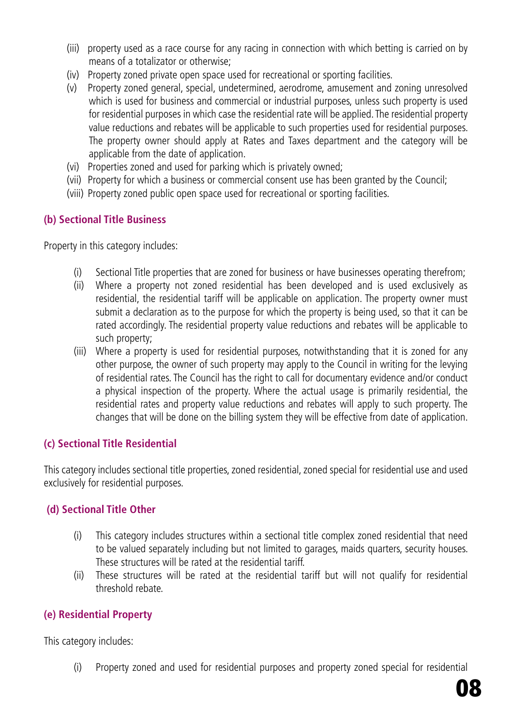- (iii) property used as a race course for any racing in connection with which betting is carried on by means of a totalizator or otherwise;
- (iv) Property zoned private open space used for recreational or sporting facilities.
- (v) Property zoned general, special, undetermined, aerodrome, amusement and zoning unresolved which is used for business and commercial or industrial purposes, unless such property is used for residential purposes in which case the residential rate will be applied. The residential property value reductions and rebates will be applicable to such properties used for residential purposes. The property owner should apply at Rates and Taxes department and the category will be applicable from the date of application.
- (vi) Properties zoned and used for parking which is privately owned;
- (vii) Property for which a business or commercial consent use has been granted by the Council;
- (viii) Property zoned public open space used for recreational or sporting facilities.

#### **(b) Sectional Title Business**

Property in this category includes:

- (i) Sectional Title properties that are zoned for business or have businesses operating therefrom;
- (ii) Where a property not zoned residential has been developed and is used exclusively as residential, the residential tariff will be applicable on application. The property owner must submit a declaration as to the purpose for which the property is being used, so that it can be rated accordingly. The residential property value reductions and rebates will be applicable to such property;
- (iii) Where a property is used for residential purposes, notwithstanding that it is zoned for any other purpose, the owner of such property may apply to the Council in writing for the levying of residential rates. The Council has the right to call for documentary evidence and/or conduct a physical inspection of the property. Where the actual usage is primarily residential, the residential rates and property value reductions and rebates will apply to such property. The changes that will be done on the billing system they will be effective from date of application.

#### **(c) Sectional Title Residential**

This category includes sectional title properties, zoned residential, zoned special for residential use and used exclusively for residential purposes.

#### **(d) Sectional Title Other**

- (i) This category includes structures within a sectional title complex zoned residential that need to be valued separately including but not limited to garages, maids quarters, security houses. These structures will be rated at the residential tariff.
- (ii) These structures will be rated at the residential tariff but will not qualify for residential threshold rebate.

#### **(e) Residential Property**

This category includes:

(i) Property zoned and used for residential purposes and property zoned special for residential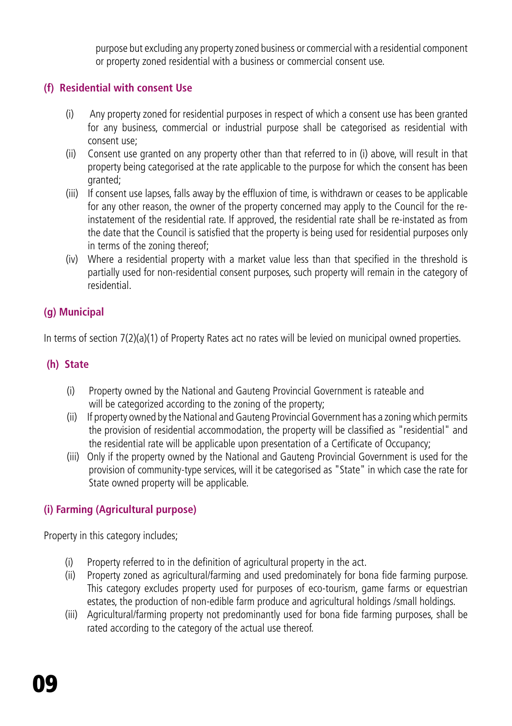purpose but excluding any property zoned business or commercial with a residential component or property zoned residential with a business or commercial consent use.

# **(f) Residential with consent Use**

- (i) Any property zoned for residential purposes in respect of which a consent use has been granted for any business, commercial or industrial purpose shall be categorised as residential with consent use;
- (ii) Consent use granted on any property other than that referred to in (i) above, will result in that property being categorised at the rate applicable to the purpose for which the consent has been granted;
- (iii) If consent use lapses, falls away by the effluxion of time, is withdrawn or ceases to be applicable for any other reason, the owner of the property concerned may apply to the Council for the reinstatement of the residential rate. If approved, the residential rate shall be re-instated as from the date that the Council is satisfied that the property is being used for residential purposes only in terms of the zoning thereof;
- (iv) Where a residential property with a market value less than that specified in the threshold is partially used for non-residential consent purposes, such property will remain in the category of residential.

# **(g) Municipal**

In terms of section 7(2)(a)(1) of Property Rates act no rates will be levied on municipal owned properties.

## **(h) State**

- (i) Property owned by the National and Gauteng Provincial Government is rateable and will be categorized according to the zoning of the property;
- (ii) If property owned by the National and Gauteng Provincial Government has a zoning which permits the provision of residential accommodation, the property will be classified as "residential" and the residential rate will be applicable upon presentation of a Certificate of Occupancy;
- (iii) Only if the property owned by the National and Gauteng Provincial Government is used for the provision of community-type services, will it be categorised as "State" in which case the rate for State owned property will be applicable.

## **(i) Farming (Agricultural purpose)**

Property in this category includes;

- (i) Property referred to in the definition of agricultural property in the act.
- (ii) Property zoned as agricultural/farming and used predominately for bona fide farming purpose. This category excludes property used for purposes of eco-tourism, game farms or equestrian estates, the production of non-edible farm produce and agricultural holdings /small holdings.
- (iii) Agricultural/farming property not predominantly used for bona fide farming purposes, shall be rated according to the category of the actual use thereof.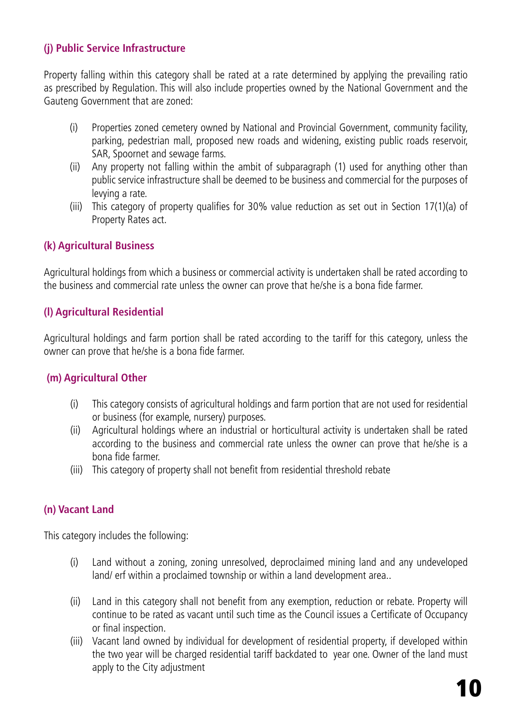#### **(j) Public Service Infrastructure**

Property falling within this category shall be rated at a rate determined by applying the prevailing ratio as prescribed by Regulation. This will also include properties owned by the National Government and the Gauteng Government that are zoned:

- (i) Properties zoned cemetery owned by National and Provincial Government, community facility, parking, pedestrian mall, proposed new roads and widening, existing public roads reservoir, SAR, Spoornet and sewage farms.
- (ii) Any property not falling within the ambit of subparagraph (1) used for anything other than public service infrastructure shall be deemed to be business and commercial for the purposes of levying a rate.
- (iii) This category of property qualifies for 30% value reduction as set out in Section 17(1)(a) of Property Rates act.

#### **(k) Agricultural Business**

Agricultural holdings from which a business or commercial activity is undertaken shall be rated according to the business and commercial rate unless the owner can prove that he/she is a bona fide farmer.

#### **(l) Agricultural Residential**

Agricultural holdings and farm portion shall be rated according to the tariff for this category, unless the owner can prove that he/she is a bona fide farmer.

#### **(m) Agricultural Other**

- (i) This category consists of agricultural holdings and farm portion that are not used for residential or business (for example, nursery) purposes.
- (ii) Agricultural holdings where an industrial or horticultural activity is undertaken shall be rated according to the business and commercial rate unless the owner can prove that he/she is a bona fide farmer.
- (iii) This category of property shall not benefit from residential threshold rebate

## **(n) Vacant Land**

This category includes the following:

- (i) Land without a zoning, zoning unresolved, deproclaimed mining land and any undeveloped land/ erf within a proclaimed township or within a land development area..
- (ii) Land in this category shall not benefit from any exemption, reduction or rebate. Property will continue to be rated as vacant until such time as the Council issues a Certificate of Occupancy or final inspection.
- (iii) Vacant land owned by individual for development of residential property, if developed within the two year will be charged residential tariff backdated to year one. Owner of the land must apply to the City adjustment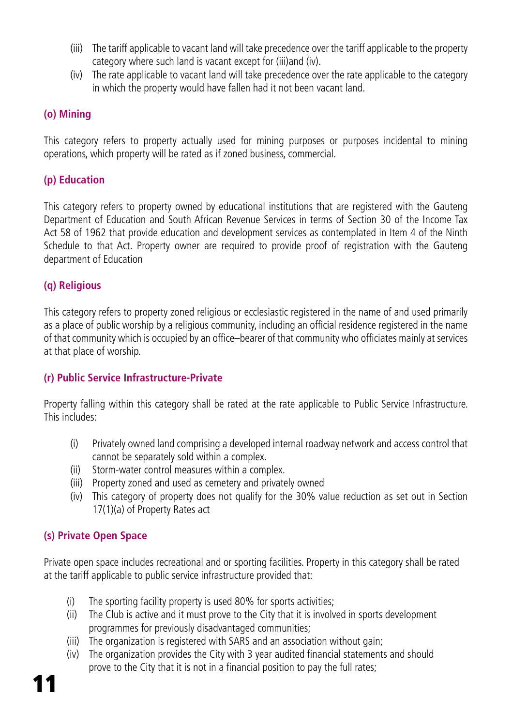- (iii) The tariff applicable to vacant land will take precedence over the tariff applicable to the property category where such land is vacant except for (iii)and (iv).
- (iv) The rate applicable to vacant land will take precedence over the rate applicable to the category in which the property would have fallen had it not been vacant land.

#### **(o) Mining**

This category refers to property actually used for mining purposes or purposes incidental to mining operations, which property will be rated as if zoned business, commercial.

#### **(p) Education**

This category refers to property owned by educational institutions that are registered with the Gauteng Department of Education and South African Revenue Services in terms of Section 30 of the Income Tax Act 58 of 1962 that provide education and development services as contemplated in Item 4 of the Ninth Schedule to that Act. Property owner are required to provide proof of registration with the Gauteng department of Education

#### **(q) Religious**

This category refers to property zoned religious or ecclesiastic registered in the name of and used primarily as a place of public worship by a religious community, including an official residence registered in the name of that community which is occupied by an office–bearer of that community who officiates mainly at services at that place of worship.

## **(r) Public Service Infrastructure-Private**

Property falling within this category shall be rated at the rate applicable to Public Service Infrastructure. This includes:

- (i) Privately owned land comprising a developed internal roadway network and access control that cannot be separately sold within a complex.
- (ii) Storm-water control measures within a complex.
- (iii) Property zoned and used as cemetery and privately owned
- (iv) This category of property does not qualify for the 30% value reduction as set out in Section 17(1)(a) of Property Rates act

## **(s) Private Open Space**

Private open space includes recreational and or sporting facilities. Property in this category shall be rated at the tariff applicable to public service infrastructure provided that:

- (i) The sporting facility property is used 80% for sports activities;
- (ii) The Club is active and it must prove to the City that it is involved in sports development programmes for previously disadvantaged communities;
- (iii) The organization is registered with SARS and an association without gain;
- (iv) The organization provides the City with 3 year audited financial statements and should prove to the City that it is not in a financial position to pay the full rates;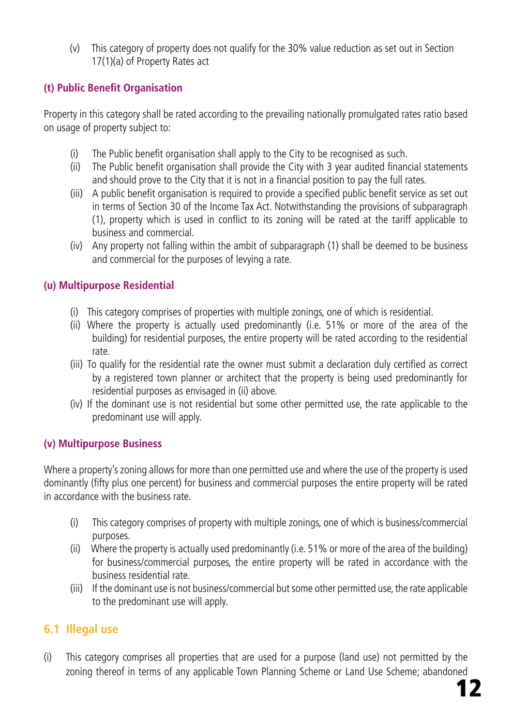(v) This category of property does not qualify for the 30% value reduction as set out in Section 17(1)(a) of Property Rates act

# **(t) Public Benefit Organisation**

Property in this category shall be rated according to the prevailing nationally promulgated rates ratio based on usage of property subject to:

- (i) The Public benefit organisation shall apply to the City to be recognised as such.
- (ii) The Public benefit organisation shall provide the City with 3 year audited financial statements and should prove to the City that it is not in a financial position to pay the full rates.
- (iii) A public benefit organisation is required to provide a specified public benefit service as set out in terms of Section 30 of the Income Tax Act. Notwithstanding the provisions of subparagraph (1), property which is used in conflict to its zoning will be rated at the tariff applicable to business and commercial.
- (iv) Any property not falling within the ambit of subparagraph (1) shall be deemed to be business and commercial for the purposes of levying a rate.

## **(u) Multipurpose Residential**

- (i) This category comprises of properties with multiple zonings, one of which is residential.
- (ii) Where the property is actually used predominantly (i.e. 51% or more of the area of the building) for residential purposes, the entire property will be rated according to the residential rate.
- (iii) To qualify for the residential rate the owner must submit a declaration duly certified as correct by a registered town planner or architect that the property is being used predominantly for residential purposes as envisaged in (ii) above.
- (iv) If the dominant use is not residential but some other permitted use, the rate applicable to the predominant use will apply.

## **(v) Multipurpose Business**

Where a property's zoning allows for more than one permitted use and where the use of the property is used dominantly (fifty plus one percent) for business and commercial purposes the entire property will be rated in accordance with the business rate.

- (i) This category comprises of property with multiple zonings, one of which is business/commercial purposes.
- (ii) Where the property is actually used predominantly (i.e. 51% or more of the area of the building) for business/commercial purposes, the entire property will be rated in accordance with the business residential rate.
- (iii) If the dominant use is not business/commercial but some other permitted use, the rate applicable to the predominant use will apply.

# **6.1 Illegal use**

(i) This category comprises all properties that are used for a purpose (land use) not permitted by the zoning thereof in terms of any applicable Town Planning Scheme or Land Use Scheme; abandoned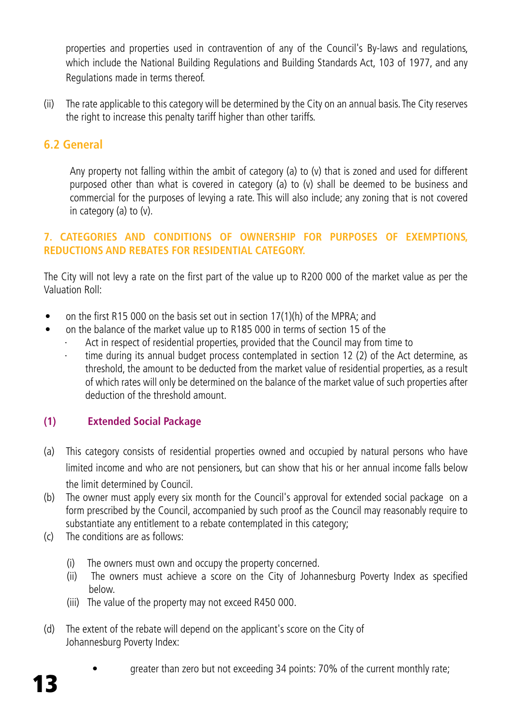properties and properties used in contravention of any of the Council's By-laws and regulations, which include the National Building Regulations and Building Standards Act, 103 of 1977, and any Regulations made in terms thereof.

(ii) The rate applicable to this category will be determined by the City on an annual basis. The City reserves the right to increase this penalty tariff higher than other tariffs.

# **6.2 General**

Any property not falling within the ambit of category (a) to (v) that is zoned and used for different purposed other than what is covered in category (a) to (v) shall be deemed to be business and commercial for the purposes of levying a rate. This will also include; any zoning that is not covered in category (a) to (v).

#### **7. CATEGORIES AND CONDITIONS OF OWNERSHIP FOR PURPOSES OF EXEMPTIONS, REDUCTIONS AND REBATES FOR RESIDENTIAL CATEGORY.**

The City will not levy a rate on the first part of the value up to R200 000 of the market value as per the Valuation Roll:

- on the first R15 000 on the basis set out in section 17(1)(h) of the MPRA; and
	- on the balance of the market value up to R185 000 in terms of section 15 of the
		- Act in respect of residential properties, provided that the Council may from time to
		- time during its annual budget process contemplated in section 12 (2) of the Act determine, as threshold, the amount to be deducted from the market value of residential properties, as a result of which rates will only be determined on the balance of the market value of such properties after deduction of the threshold amount.

## **(1) Extended Social Package**

- (a) This category consists of residential properties owned and occupied by natural persons who have limited income and who are not pensioners, but can show that his or her annual income falls below the limit determined by Council.
- (b) The owner must apply every six month for the Council's approval for extended social package on a form prescribed by the Council, accompanied by such proof as the Council may reasonably require to substantiate any entitlement to a rebate contemplated in this category;
- (c) The conditions are as follows:
	- (i) The owners must own and occupy the property concerned.
	- (ii) The owners must achieve a score on the City of Johannesburg Poverty Index as specified below.
	- (iii) The value of the property may not exceed R450 000.
- (d) The extent of the rebate will depend on the applicant's score on the City of Johannesburg Poverty Index:
	- greater than zero but not exceeding 34 points: 70% of the current monthly rate;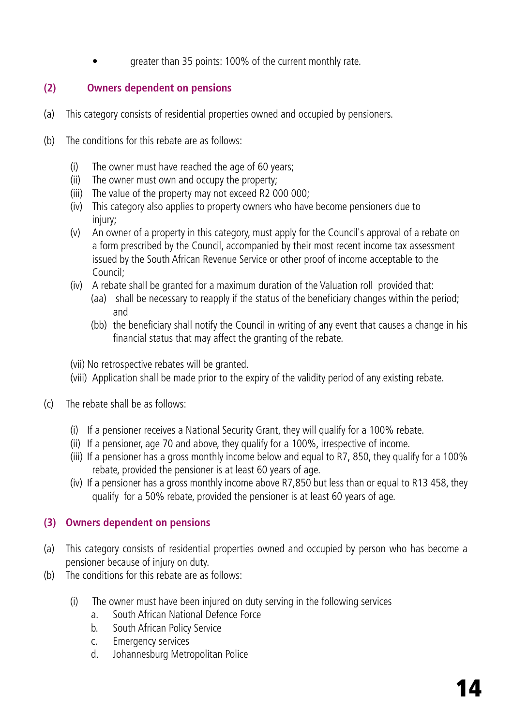greater than 35 points: 100% of the current monthly rate.

## **(2) Owners dependent on pensions**

- (a) This category consists of residential properties owned and occupied by pensioners.
- (b) The conditions for this rebate are as follows:
	- (i) The owner must have reached the age of 60 years;
	- (ii) The owner must own and occupy the property;
	- (iii) The value of the property may not exceed R2 000 000;
	- (iv) This category also applies to property owners who have become pensioners due to injury:
	- (v) An owner of a property in this category, must apply for the Council's approval of a rebate on a form prescribed by the Council, accompanied by their most recent income tax assessment issued by the South African Revenue Service or other proof of income acceptable to the Council;
	- (iv) A rebate shall be granted for a maximum duration of the Valuation roll provided that: (aa) shall be necessary to reapply if the status of the beneficiary changes within the period;
		- and
		- (bb) the beneficiary shall notify the Council in writing of any event that causes a change in his financial status that may affect the granting of the rebate.

(vii) No retrospective rebates will be granted.

- (viii) Application shall be made prior to the expiry of the validity period of any existing rebate.
- (c) The rebate shall be as follows:
	- (i) If a pensioner receives a National Security Grant, they will qualify for a 100% rebate.
	- (ii) If a pensioner, age 70 and above, they qualify for a 100%, irrespective of income.
	- (iii) If a pensioner has a gross monthly income below and equal to R7, 850, they qualify for a 100% rebate, provided the pensioner is at least 60 years of age.
	- (iv) If a pensioner has a gross monthly income above R7,850 but less than or equal to R13 458, they qualify for a 50% rebate, provided the pensioner is at least 60 years of age.

# **(3) Owners dependent on pensions**

- (a) This category consists of residential properties owned and occupied by person who has become a pensioner because of injury on duty.
- (b) The conditions for this rebate are as follows:
	- (i) The owner must have been injured on duty serving in the following services
		- a. South African National Defence Force
		- b. South African Policy Service
		- c. Emergency services
		- d. Johannesburg Metropolitan Police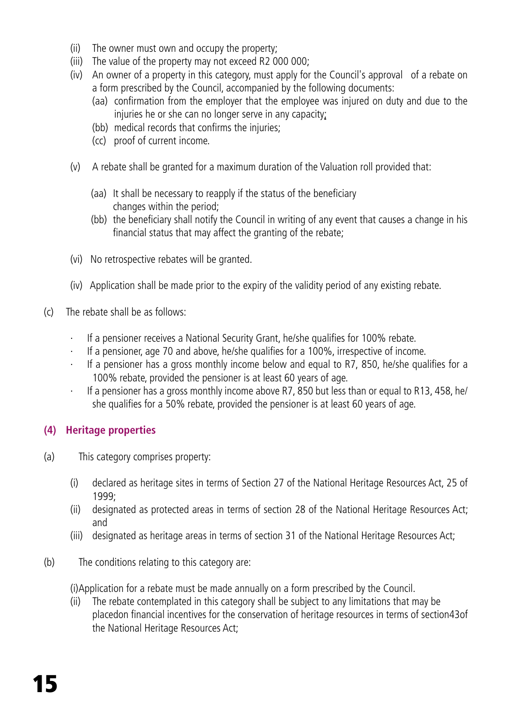- (ii) The owner must own and occupy the property;
- (iii) The value of the property may not exceed R2 000 000;
- (iv) An owner of a property in this category, must apply for the Council's approval of a rebate on a form prescribed by the Council, accompanied by the following documents:
	- (aa) confirmation from the employer that the employee was injured on duty and due to the injuries he or she can no longer serve in any capacity;
	- (bb) medical records that confirms the injuries:
	- (cc) proof of current income.
- (v) A rebate shall be granted for a maximum duration of the Valuation roll provided that:
	- (aa) It shall be necessary to reapply if the status of the beneficiary changes within the period;
	- (bb) the beneficiary shall notify the Council in writing of any event that causes a change in his financial status that may affect the granting of the rebate;
- (vi) No retrospective rebates will be granted.
- (iv) Application shall be made prior to the expiry of the validity period of any existing rebate.
- (c) The rebate shall be as follows:
	- If a pensioner receives a National Security Grant, he/she qualifies for 100% rebate.
	- If a pensioner, age 70 and above, he/she qualifies for a 100%, irrespective of income.
	- If a pensioner has a gross monthly income below and equal to R7, 850, he/she qualifies for a 100% rebate, provided the pensioner is at least 60 years of age.
	- If a pensioner has a gross monthly income above R7, 850 but less than or equal to R13, 458, he/ she qualifies for a 50% rebate, provided the pensioner is at least 60 years of age.

## **(4) Heritage properties**

- (a) This category comprises property:
	- (i) declared as heritage sites in terms of Section 27 of the National Heritage Resources Act, 25 of 1999;
	- (ii) designated as protected areas in terms of section 28 of the National Heritage Resources Act; and
	- (iii) designated as heritage areas in terms of section 31 of the National Heritage Resources Act;
- (b) The conditions relating to this category are:

(i)Application for a rebate must be made annually on a form prescribed by the Council.

(ii) The rebate contemplated in this category shall be subject to any limitations that may be placedon financial incentives for the conservation of heritage resources in terms of section43of the National Heritage Resources Act;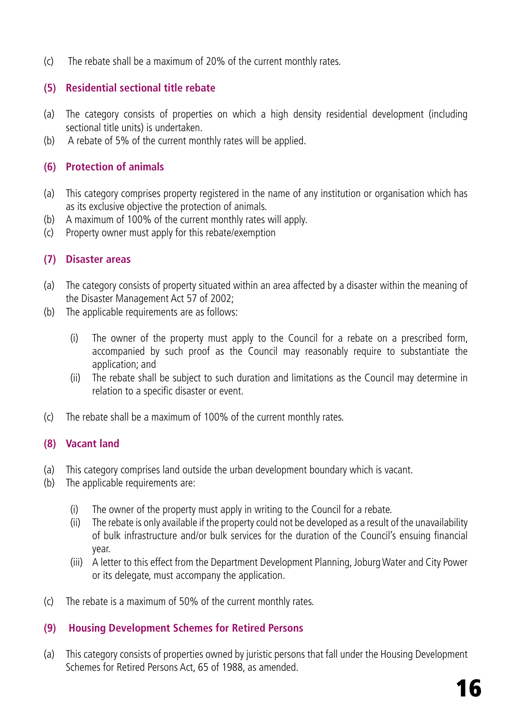(c) The rebate shall be a maximum of 20% of the current monthly rates.

#### **(5) Residential sectional title rebate**

- (a) The category consists of properties on which a high density residential development (including sectional title units) is undertaken.
- (b) A rebate of 5% of the current monthly rates will be applied.

#### **(6) Protection of animals**

- (a) This category comprises property registered in the name of any institution or organisation which has as its exclusive objective the protection of animals.
- (b) A maximum of 100% of the current monthly rates will apply.
- (c) Property owner must apply for this rebate/exemption

#### **(7) Disaster areas**

- (a) The category consists of property situated within an area affected by a disaster within the meaning of the Disaster Management Act 57 of 2002;
- (b) The applicable requirements are as follows:
	- (i) The owner of the property must apply to the Council for a rebate on a prescribed form, accompanied by such proof as the Council may reasonably require to substantiate the application; and
	- (ii) The rebate shall be subject to such duration and limitations as the Council may determine in relation to a specific disaster or event.
- (c) The rebate shall be a maximum of 100% of the current monthly rates.

#### **(8) Vacant land**

- (a) This category comprises land outside the urban development boundary which is vacant.
- (b) The applicable requirements are:
	- (i) The owner of the property must apply in writing to the Council for a rebate.
	- (ii) The rebate is only available if the property could not be developed as a result of the unavailability of bulk infrastructure and/or bulk services for the duration of the Council's ensuing financial year.
	- (iii) A letter to this effect from the Department Development Planning, Joburg Water and City Power or its delegate, must accompany the application.
- (c) The rebate is a maximum of 50% of the current monthly rates.

## **(9) Housing Development Schemes for Retired Persons**

(a) This category consists of properties owned by juristic persons that fall under the Housing Development Schemes for Retired Persons Act, 65 of 1988, as amended.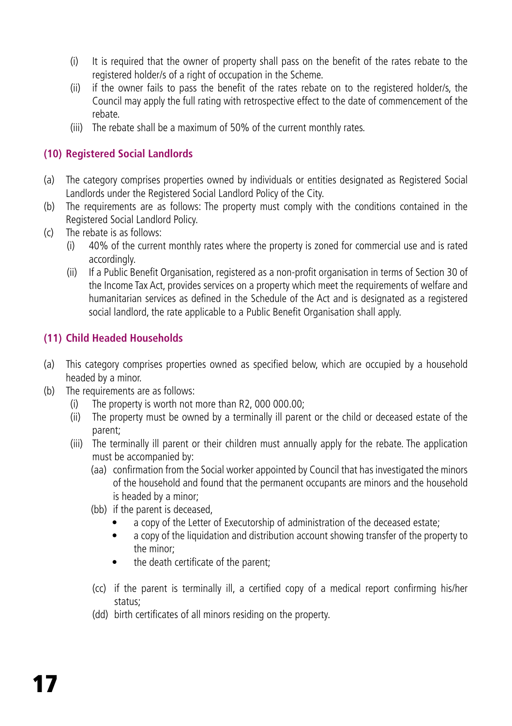- (i) It is required that the owner of property shall pass on the benefit of the rates rebate to the registered holder/s of a right of occupation in the Scheme.
- (ii) if the owner fails to pass the benefit of the rates rebate on to the registered holder/s, the Council may apply the full rating with retrospective effect to the date of commencement of the rebate.
- (iii) The rebate shall be a maximum of 50% of the current monthly rates.

# **(10) Registered Social Landlords**

- (a) The category comprises properties owned by individuals or entities designated as Registered Social Landlords under the Registered Social Landlord Policy of the City.
- (b) The requirements are as follows: The property must comply with the conditions contained in the Registered Social Landlord Policy.
- (c) The rebate is as follows:
	- (i) 40% of the current monthly rates where the property is zoned for commercial use and is rated accordingly.
	- (ii) If a Public Benefit Organisation, registered as a non-profit organisation in terms of Section 30 of the Income Tax Act, provides services on a property which meet the requirements of welfare and humanitarian services as defined in the Schedule of the Act and is designated as a registered social landlord, the rate applicable to a Public Benefit Organisation shall apply.

# **(11) Child Headed Households**

- (a) This category comprises properties owned as specified below, which are occupied by a household headed by a minor.
- (b) The requirements are as follows:
	- (i) The property is worth not more than R2, 000 000.00;
	- (ii) The property must be owned by a terminally ill parent or the child or deceased estate of the parent;
	- (iii) The terminally ill parent or their children must annually apply for the rebate. The application must be accompanied by:
		- (aa) confirmation from the Social worker appointed by Council that has investigated the minors of the household and found that the permanent occupants are minors and the household is headed by a minor;
		- (bb) if the parent is deceased,
			- a copy of the Letter of Executorship of administration of the deceased estate;
			- a copy of the liquidation and distribution account showing transfer of the property to the minor;
			- the death certificate of the parent;
		- (cc) if the parent is terminally ill, a certified copy of a medical report confirming his/her status;
		- (dd) birth certificates of all minors residing on the property.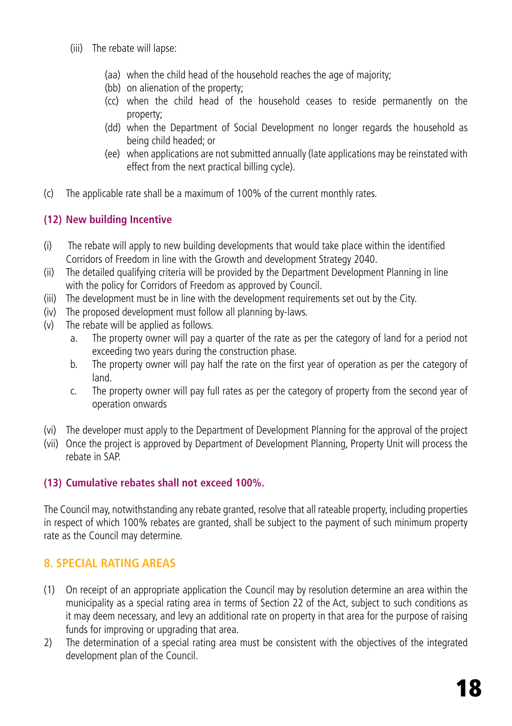- (iii) The rebate will lapse:
	- (aa) when the child head of the household reaches the age of majority;
	- (bb) on alienation of the property;
	- (cc) when the child head of the household ceases to reside permanently on the property;
	- (dd) when the Department of Social Development no longer regards the household as being child headed; or
	- (ee) when applications are not submitted annually (late applications may be reinstated with effect from the next practical billing cycle).
- (c) The applicable rate shall be a maximum of 100% of the current monthly rates.

# **(12) New building Incentive**

- (i) The rebate will apply to new building developments that would take place within the identified Corridors of Freedom in line with the Growth and development Strategy 2040.
- (ii) The detailed qualifying criteria will be provided by the Department Development Planning in line with the policy for Corridors of Freedom as approved by Council.
- (iii) The development must be in line with the development requirements set out by the City.
- (iv) The proposed development must follow all planning by-laws.
- (v) The rebate will be applied as follows.
	- a. The property owner will pay a quarter of the rate as per the category of land for a period not exceeding two years during the construction phase.
	- b. The property owner will pay half the rate on the first year of operation as per the category of land.
	- c. The property owner will pay full rates as per the category of property from the second year of operation onwards
- (vi) The developer must apply to the Department of Development Planning for the approval of the project
- (vii) Once the project is approved by Department of Development Planning, Property Unit will process the rebate in SAP.

# **(13) Cumulative rebates shall not exceed 100%.**

The Council may, notwithstanding any rebate granted, resolve that all rateable property, including properties in respect of which 100% rebates are granted, shall be subject to the payment of such minimum property rate as the Council may determine.

# **8. SPECIAL RATING AREAS**

- (1) On receipt of an appropriate application the Council may by resolution determine an area within the municipality as a special rating area in terms of Section 22 of the Act, subject to such conditions as it may deem necessary, and levy an additional rate on property in that area for the purpose of raising funds for improving or upgrading that area.
- 2) The determination of a special rating area must be consistent with the objectives of the integrated development plan of the Council.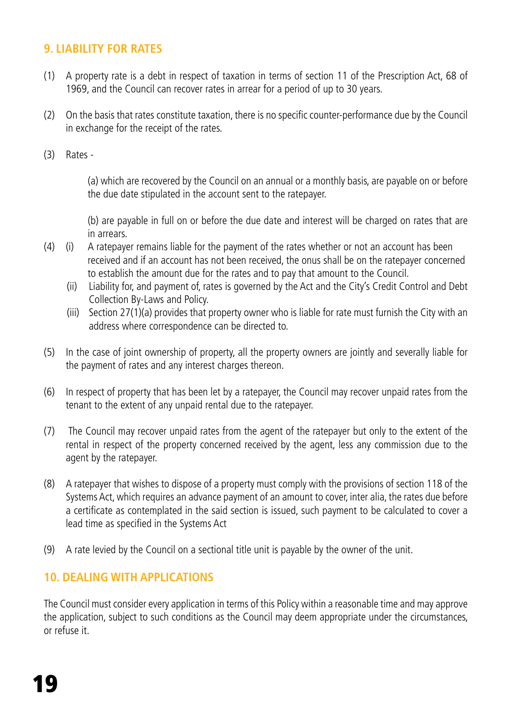# **9. LIABILITY FOR RATES**

- (1) A property rate is a debt in respect of taxation in terms of section 11 of the Prescription Act, 68 of 1969, and the Council can recover rates in arrear for a period of up to 30 years.
- (2) On the basis that rates constitute taxation, there is no specific counter-performance due by the Council in exchange for the receipt of the rates.
- (3) Rates -

(a) which are recovered by the Council on an annual or a monthly basis, are payable on or before the due date stipulated in the account sent to the ratepayer.

(b) are payable in full on or before the due date and interest will be charged on rates that are in arrears.

- (4) (i) A ratepayer remains liable for the payment of the rates whether or not an account has been received and if an account has not been received, the onus shall be on the ratepayer concerned to establish the amount due for the rates and to pay that amount to the Council.
	- (ii) Liability for, and payment of, rates is governed by the Act and the City's Credit Control and Debt Collection By-Laws and Policy.
	- (iii) Section 27(1)(a) provides that property owner who is liable for rate must furnish the City with an address where correspondence can be directed to.
- (5) In the case of joint ownership of property, all the property owners are jointly and severally liable for the payment of rates and any interest charges thereon.
- (6) In respect of property that has been let by a ratepayer, the Council may recover unpaid rates from the tenant to the extent of any unpaid rental due to the ratepayer.
- (7) The Council may recover unpaid rates from the agent of the ratepayer but only to the extent of the rental in respect of the property concerned received by the agent, less any commission due to the agent by the ratepayer.
- (8) A ratepayer that wishes to dispose of a property must comply with the provisions of section 118 of the Systems Act, which requires an advance payment of an amount to cover, inter alia, the rates due before a certificate as contemplated in the said section is issued, such payment to be calculated to cover a lead time as specified in the Systems Act
- (9) A rate levied by the Council on a sectional title unit is payable by the owner of the unit.

## **10. DEALING WITH APPLICATIONS**

The Council must consider every application in terms of this Policy within a reasonable time and may approve the application, subject to such conditions as the Council may deem appropriate under the circumstances, or refuse it.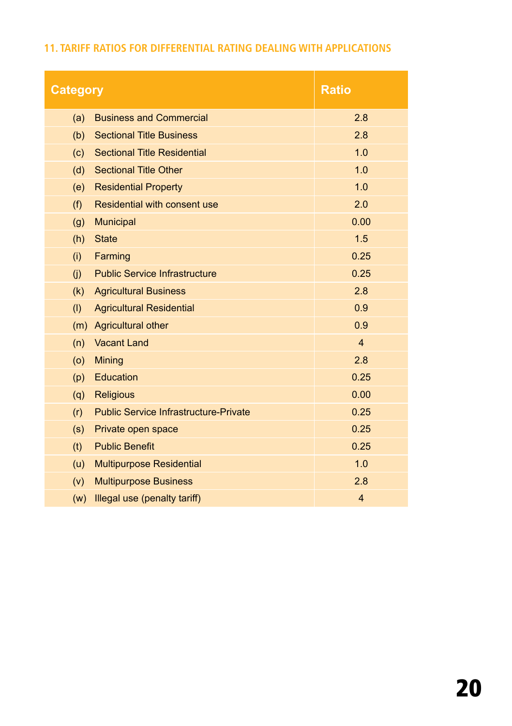# **11. TARIFF RATIOS FOR DIFFERENTIAL RATING DEALING WITH APPLICATIONS**

| <b>Ratio</b><br><b>Category</b> |                                              |                |  |  |
|---------------------------------|----------------------------------------------|----------------|--|--|
| (a)                             | <b>Business and Commercial</b>               | 2.8            |  |  |
| (b)                             | <b>Sectional Title Business</b>              | 2.8            |  |  |
| (c)                             | <b>Sectional Title Residential</b>           | 1.0            |  |  |
| (d)                             | <b>Sectional Title Other</b>                 | 1.0            |  |  |
| (e)                             | <b>Residential Property</b>                  | 1.0            |  |  |
| (f)                             | Residential with consent use                 | 2.0            |  |  |
| (q)                             | <b>Municipal</b>                             | 0.00           |  |  |
| (h)                             | <b>State</b>                                 | 1.5            |  |  |
| (i)                             | Farming                                      | 0.25           |  |  |
| (i)                             | <b>Public Service Infrastructure</b>         | 0.25           |  |  |
| (k)                             | <b>Agricultural Business</b>                 | 2.8            |  |  |
| (1)                             | <b>Agricultural Residential</b>              | 0.9            |  |  |
| (m)                             | <b>Agricultural other</b>                    | 0.9            |  |  |
| (n)                             | <b>Vacant Land</b>                           | $\overline{4}$ |  |  |
| (0)                             | Mining                                       | 2.8            |  |  |
| (p)                             | Education                                    | 0.25           |  |  |
| (q)                             | <b>Religious</b>                             | 0.00           |  |  |
| (r)                             | <b>Public Service Infrastructure-Private</b> | 0.25           |  |  |
| (s)                             | Private open space                           | 0.25           |  |  |
| (t)                             | <b>Public Benefit</b>                        | 0.25           |  |  |
| (u)                             | <b>Multipurpose Residential</b>              | 1.0            |  |  |
| (v)                             | <b>Multipurpose Business</b>                 | 2.8            |  |  |
| (w)                             | Illegal use (penalty tariff)                 | $\overline{4}$ |  |  |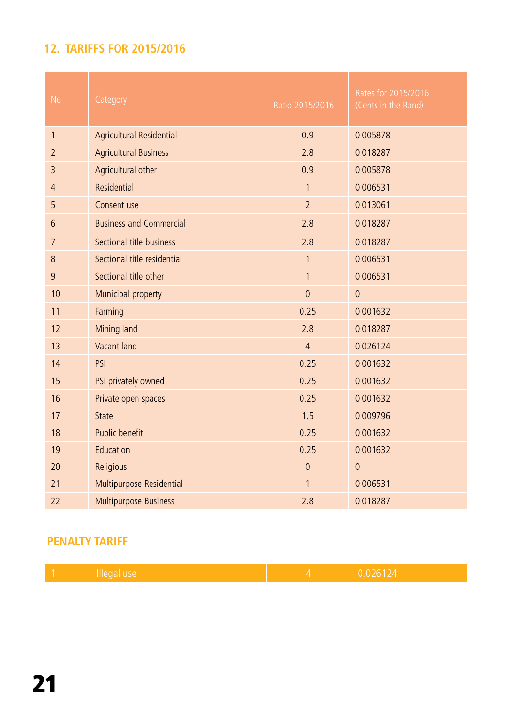# **12. TARIFFS FOR 2015/2016**

| <b>No</b>      | Category                       | Ratio 2015/2016 | Rates for 2015/2016<br>(Cents in the Rand) |
|----------------|--------------------------------|-----------------|--------------------------------------------|
| $\mathbf{1}$   | Agricultural Residential       | 0.9             | 0.005878                                   |
| $\overline{2}$ | <b>Agricultural Business</b>   | 2.8             | 0.018287                                   |
| 3              | Agricultural other             | 0.9             | 0.005878                                   |
| $\overline{4}$ | Residential                    | $\mathbf{1}$    | 0.006531                                   |
| 5              | Consent use                    | $\overline{2}$  | 0.013061                                   |
| 6              | <b>Business and Commercial</b> | 2.8             | 0.018287                                   |
| $\overline{7}$ | Sectional title business       | 2.8             | 0.018287                                   |
| 8              | Sectional title residential    | $\mathbf{1}$    | 0.006531                                   |
| 9              | Sectional title other          | $\mathbf{1}$    | 0.006531                                   |
| 10             | Municipal property             | $\overline{0}$  | $\overline{0}$                             |
| 11             | Farming                        | 0.25            | 0.001632                                   |
| 12             | Mining land                    | 2.8             | 0.018287                                   |
| 13             | Vacant land                    | $\overline{4}$  | 0.026124                                   |
| 14             | PSI                            | 0.25            | 0.001632                                   |
| 15             | PSI privately owned            | 0.25            | 0.001632                                   |
| 16             | Private open spaces            | 0.25            | 0.001632                                   |
| 17             | State                          | 1.5             | 0.009796                                   |
| 18             | Public benefit                 | 0.25            | 0.001632                                   |
| 19             | Education                      | 0.25            | 0.001632                                   |
| 20             | Religious                      | $\overline{0}$  | $\overline{0}$                             |
| 21             | Multipurpose Residential       | 1               | 0.006531                                   |
| 22             | Multipurpose Business          | 2.8             | 0.018287                                   |

# **PENALTY TARIFF**

| ı1<br>. .<br>muud<br>uu |  |
|-------------------------|--|